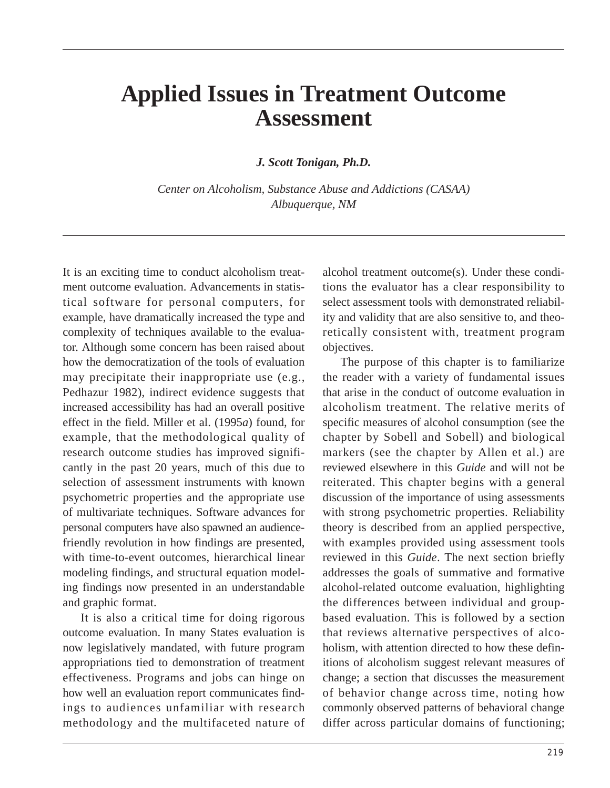# **Applied Issues in Treatment Outcome Assessment**

*J. Scott Tonigan, Ph.D.* 

*Center on Alcoholism, Substance Abuse and Addictions (CASAA) Albuquerque, NM* 

It is an exciting time to conduct alcoholism treatment outcome evaluation. Advancements in statistical software for personal computers, for example, have dramatically increased the type and complexity of techniques available to the evaluator. Although some concern has been raised about how the democratization of the tools of evaluation may precipitate their inappropriate use (e.g., Pedhazur 1982), indirect evidence suggests that increased accessibility has had an overall positive effect in the field. Miller et al. (1995*a*) found, for example, that the methodological quality of research outcome studies has improved significantly in the past 20 years, much of this due to selection of assessment instruments with known psychometric properties and the appropriate use of multivariate techniques. Software advances for personal computers have also spawned an audiencefriendly revolution in how findings are presented, with time-to-event outcomes, hierarchical linear modeling findings, and structural equation modeling findings now presented in an understandable and graphic format.

It is also a critical time for doing rigorous outcome evaluation. In many States evaluation is now legislatively mandated, with future program appropriations tied to demonstration of treatment effectiveness. Programs and jobs can hinge on how well an evaluation report communicates findings to audiences unfamiliar with research methodology and the multifaceted nature of alcohol treatment outcome(s). Under these conditions the evaluator has a clear responsibility to select assessment tools with demonstrated reliability and validity that are also sensitive to, and theoretically consistent with, treatment program objectives.

The purpose of this chapter is to familiarize the reader with a variety of fundamental issues that arise in the conduct of outcome evaluation in alcoholism treatment. The relative merits of specific measures of alcohol consumption (see the chapter by Sobell and Sobell) and biological markers (see the chapter by Allen et al.) are reviewed elsewhere in this *Guide* and will not be reiterated. This chapter begins with a general discussion of the importance of using assessments with strong psychometric properties. Reliability theory is described from an applied perspective, with examples provided using assessment tools reviewed in this *Guide*. The next section briefly addresses the goals of summative and formative alcohol-related outcome evaluation, highlighting the differences between individual and groupbased evaluation. This is followed by a section that reviews alternative perspectives of alcoholism, with attention directed to how these definitions of alcoholism suggest relevant measures of change; a section that discusses the measurement of behavior change across time, noting how commonly observed patterns of behavioral change differ across particular domains of functioning;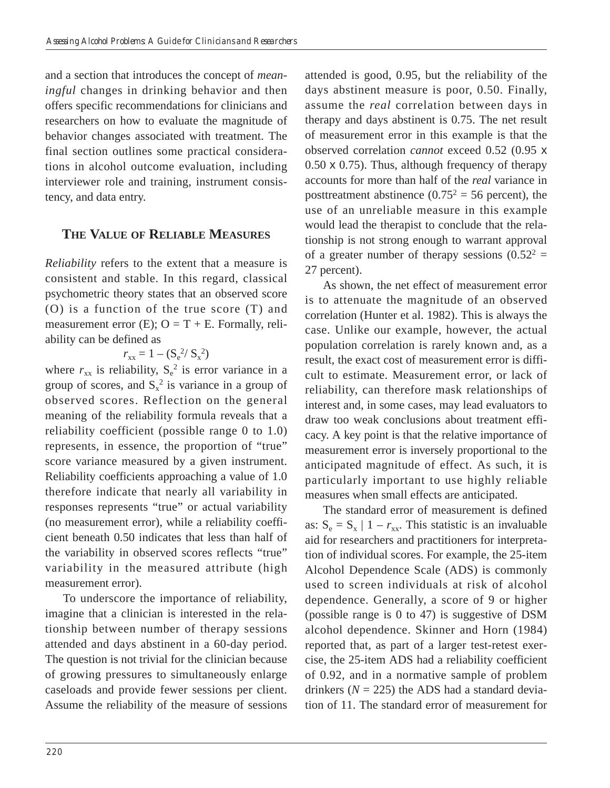and a section that introduces the concept of *meaningful* changes in drinking behavior and then offers specific recommendations for clinicians and researchers on how to evaluate the magnitude of behavior changes associated with treatment. The final section outlines some practical considerations in alcohol outcome evaluation, including interviewer role and training, instrument consistency, and data entry.

# **THE VALUE OF RELIABLE MEASURES**

*Reliability* refers to the extent that a measure is consistent and stable. In this regard, classical psychometric theory states that an observed score (O) is a function of the true score (T) and measurement error (E);  $O = T + E$ . Formally, reliability can be defined as

$$
r_{xx} = 1 - (S_e^2 / S_x^2)
$$

where  $r_{xx}$  is reliability,  $S_e^2$  is error variance in a group of scores, and  $S_x^2$  is variance in a group of observed scores. Reflection on the general meaning of the reliability formula reveals that a reliability coefficient (possible range 0 to 1.0) represents, in essence, the proportion of "true" score variance measured by a given instrument. Reliability coefficients approaching a value of 1.0 therefore indicate that nearly all variability in responses represents "true" or actual variability (no measurement error), while a reliability coefficient beneath 0.50 indicates that less than half of the variability in observed scores reflects "true" variability in the measured attribute (high measurement error).

To underscore the importance of reliability, imagine that a clinician is interested in the relationship between number of therapy sessions attended and days abstinent in a 60-day period. The question is not trivial for the clinician because of growing pressures to simultaneously enlarge caseloads and provide fewer sessions per client. Assume the reliability of the measure of sessions attended is good, 0.95, but the reliability of the days abstinent measure is poor, 0.50. Finally, assume the *real* correlation between days in therapy and days abstinent is 0.75. The net result of measurement error in this example is that the observed correlation *cannot* exceed 0.52 (0.95 x 0.50 x 0.75). Thus, although frequency of therapy accounts for more than half of the *real* variance in posttreatment abstinence  $(0.75^2 = 56$  percent), the use of an unreliable measure in this example would lead the therapist to conclude that the relationship is not strong enough to warrant approval of a greater number of therapy sessions  $(0.52<sup>2</sup> =$ 27 percent).

As shown, the net effect of measurement error is to attenuate the magnitude of an observed correlation (Hunter et al. 1982). This is always the case. Unlike our example, however, the actual population correlation is rarely known and, as a result, the exact cost of measurement error is difficult to estimate. Measurement error, or lack of reliability, can therefore mask relationships of interest and, in some cases, may lead evaluators to draw too weak conclusions about treatment efficacy. A key point is that the relative importance of measurement error is inversely proportional to the anticipated magnitude of effect. As such, it is particularly important to use highly reliable measures when small effects are anticipated.

The standard error of measurement is defined as:  $S_e = S_x \mid 1 - r_{xx}$ . This statistic is an invaluable aid for researchers and practitioners for interpretation of individual scores. For example, the 25-item Alcohol Dependence Scale (ADS) is commonly used to screen individuals at risk of alcohol dependence. Generally, a score of 9 or higher (possible range is 0 to 47) is suggestive of DSM alcohol dependence. Skinner and Horn (1984) reported that, as part of a larger test-retest exercise, the 25-item ADS had a reliability coefficient of 0.92, and in a normative sample of problem drinkers  $(N = 225)$  the ADS had a standard deviation of 11. The standard error of measurement for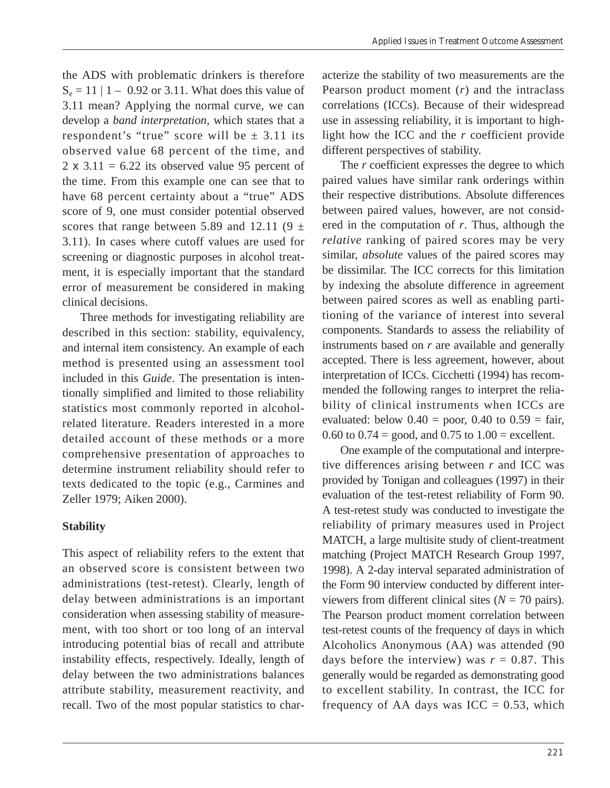$S_e = 11 | 1 - 0.92$  or 3.11. What does this value of the ADS with problematic drinkers is therefore 3.11 mean? Applying the normal curve, we can develop a *band interpretation,* which states that a respondent's "true" score will be  $\pm$  3.11 its observed value 68 percent of the time, and 2  $\times$  3.11 = 6.22 its observed value 95 percent of the time. From this example one can see that to have 68 percent certainty about a "true" ADS score of 9, one must consider potential observed scores that range between 5.89 and 12.11 (9  $\pm$ 3.11). In cases where cutoff values are used for screening or diagnostic purposes in alcohol treatment, it is especially important that the standard error of measurement be considered in making clinical decisions.

Three methods for investigating reliability are described in this section: stability, equivalency, and internal item consistency. An example of each method is presented using an assessment tool included in this *Guide*. The presentation is intentionally simplified and limited to those reliability statistics most commonly reported in alcoholrelated literature. Readers interested in a more detailed account of these methods or a more comprehensive presentation of approaches to determine instrument reliability should refer to texts dedicated to the topic (e.g., Carmines and Zeller 1979; Aiken 2000).

#### **Stability**

This aspect of reliability refers to the extent that an observed score is consistent between two administrations (test-retest). Clearly, length of delay between administrations is an important consideration when assessing stability of measurement, with too short or too long of an interval introducing potential bias of recall and attribute instability effects, respectively. Ideally, length of delay between the two administrations balances attribute stability, measurement reactivity, and recall. Two of the most popular statistics to char-

acterize the stability of two measurements are the Pearson product moment (*r*) and the intraclass correlations (ICCs). Because of their widespread use in assessing reliability, it is important to highlight how the ICC and the *r* coefficient provide different perspectives of stability.

The *r* coefficient expresses the degree to which paired values have similar rank orderings within their respective distributions. Absolute differences between paired values, however, are not considered in the computation of *r*. Thus, although the *relative* ranking of paired scores may be very similar, *absolute* values of the paired scores may be dissimilar. The ICC corrects for this limitation by indexing the absolute difference in agreement between paired scores as well as enabling partitioning of the variance of interest into several components. Standards to assess the reliability of instruments based on *r* are available and generally accepted. There is less agreement, however, about interpretation of ICCs. Cicchetti (1994) has recommended the following ranges to interpret the reliability of clinical instruments when ICCs are evaluated: below  $0.40 =$  poor,  $0.40$  to  $0.59 =$  fair, 0.60 to  $0.74 = \text{good}$ , and  $0.75$  to  $1.00 = \text{excellent}$ .

One example of the computational and interpretive differences arising between *r* and ICC was provided by Tonigan and colleagues (1997) in their evaluation of the test-retest reliability of Form 90. A test-retest study was conducted to investigate the reliability of primary measures used in Project MATCH, a large multisite study of client-treatment matching (Project MATCH Research Group 1997, 1998). A 2-day interval separated administration of the Form 90 interview conducted by different interviewers from different clinical sites  $(N = 70 \text{ pairs})$ . The Pearson product moment correlation between test-retest counts of the frequency of days in which Alcoholics Anonymous (AA) was attended (90 days before the interview) was  $r = 0.87$ . This generally would be regarded as demonstrating good to excellent stability. In contrast, the ICC for frequency of AA days was  $ICC = 0.53$ , which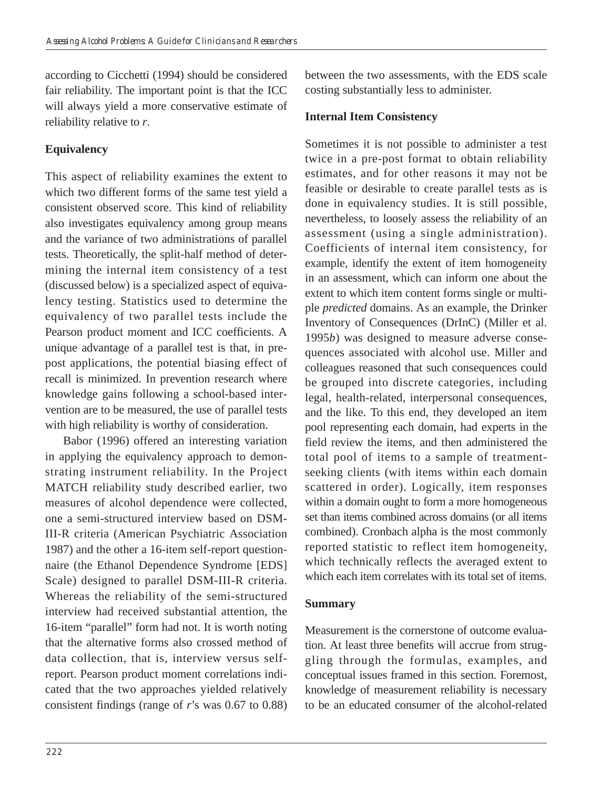according to Cicchetti (1994) should be considered fair reliability. The important point is that the ICC will always yield a more conservative estimate of reliability relative to *r*.

# **Equivalency**

This aspect of reliability examines the extent to which two different forms of the same test yield a consistent observed score. This kind of reliability also investigates equivalency among group means and the variance of two administrations of parallel tests. Theoretically, the split-half method of determining the internal item consistency of a test (discussed below) is a specialized aspect of equivalency testing. Statistics used to determine the equivalency of two parallel tests include the Pearson product moment and ICC coefficients. A unique advantage of a parallel test is that, in prepost applications, the potential biasing effect of recall is minimized. In prevention research where knowledge gains following a school-based intervention are to be measured, the use of parallel tests with high reliability is worthy of consideration.

Babor (1996) offered an interesting variation in applying the equivalency approach to demonstrating instrument reliability. In the Project MATCH reliability study described earlier, two measures of alcohol dependence were collected, one a semi-structured interview based on DSM-III-R criteria (American Psychiatric Association 1987) and the other a 16-item self-report questionnaire (the Ethanol Dependence Syndrome [EDS] Scale) designed to parallel DSM-III-R criteria. Whereas the reliability of the semi-structured interview had received substantial attention, the 16-item "parallel" form had not. It is worth noting that the alternative forms also crossed method of data collection, that is, interview versus selfreport. Pearson product moment correlations indicated that the two approaches yielded relatively consistent findings (range of *r*'s was 0.67 to 0.88) between the two assessments, with the EDS scale costing substantially less to administer.

## **Internal Item Consistency**

Sometimes it is not possible to administer a test twice in a pre-post format to obtain reliability estimates, and for other reasons it may not be feasible or desirable to create parallel tests as is done in equivalency studies. It is still possible, nevertheless, to loosely assess the reliability of an assessment (using a single administration). Coefficients of internal item consistency, for example, identify the extent of item homogeneity in an assessment, which can inform one about the extent to which item content forms single or multiple *predicted* domains. As an example, the Drinker Inventory of Consequences (DrInC) (Miller et al. 1995*b*) was designed to measure adverse consequences associated with alcohol use. Miller and colleagues reasoned that such consequences could be grouped into discrete categories, including legal, health-related, interpersonal consequences, and the like. To this end, they developed an item pool representing each domain, had experts in the field review the items, and then administered the total pool of items to a sample of treatmentseeking clients (with items within each domain scattered in order). Logically, item responses within a domain ought to form a more homogeneous set than items combined across domains (or all items combined). Cronbach alpha is the most commonly reported statistic to reflect item homogeneity, which technically reflects the averaged extent to which each item correlates with its total set of items.

#### **Summary**

Measurement is the cornerstone of outcome evaluation. At least three benefits will accrue from struggling through the formulas, examples, and conceptual issues framed in this section. Foremost, knowledge of measurement reliability is necessary to be an educated consumer of the alcohol-related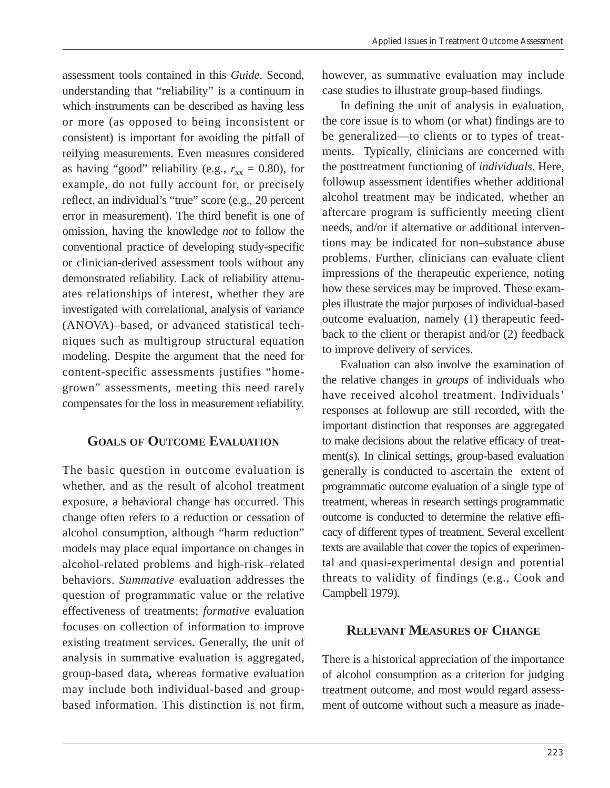assessment tools contained in this *Guide*. Second, understanding that "reliability" is a continuum in which instruments can be described as having less or more (as opposed to being inconsistent or consistent) is important for avoiding the pitfall of reifying measurements. Even measures considered as having "good" reliability (e.g.,  $r_{xx} = 0.80$ ), for example, do not fully account for, or precisely reflect, an individual's "true" score (e.g., 20 percent error in measurement). The third benefit is one of omission, having the knowledge *not* to follow the conventional practice of developing study-specific or clinician-derived assessment tools without any demonstrated reliability. Lack of reliability attenuates relationships of interest, whether they are investigated with correlational, analysis of variance (ANOVA)–based, or advanced statistical techniques such as multigroup structural equation modeling. Despite the argument that the need for content-specific assessments justifies "homegrown" assessments, meeting this need rarely compensates for the loss in measurement reliability.

### **GOALS OF OUTCOME EVALUATION**

The basic question in outcome evaluation is whether, and as the result of alcohol treatment exposure, a behavioral change has occurred. This change often refers to a reduction or cessation of alcohol consumption, although "harm reduction" models may place equal importance on changes in alcohol-related problems and high-risk–related behaviors. *Summative* evaluation addresses the question of programmatic value or the relative effectiveness of treatments; *formative* evaluation focuses on collection of information to improve existing treatment services. Generally, the unit of analysis in summative evaluation is aggregated, group-based data, whereas formative evaluation may include both individual-based and groupbased information. This distinction is not firm, however, as summative evaluation may include case studies to illustrate group-based findings.

In defining the unit of analysis in evaluation, the core issue is to whom (or what) findings are to be generalized—to clients or to types of treatments. Typically, clinicians are concerned with the posttreatment functioning of *individuals*. Here, followup assessment identifies whether additional alcohol treatment may be indicated, whether an aftercare program is sufficiently meeting client needs, and/or if alternative or additional interventions may be indicated for non–substance abuse problems. Further, clinicians can evaluate client impressions of the therapeutic experience, noting how these services may be improved. These examples illustrate the major purposes of individual-based outcome evaluation, namely (1) therapeutic feedback to the client or therapist and/or (2) feedback to improve delivery of services.

Evaluation can also involve the examination of the relative changes in *groups* of individuals who have received alcohol treatment. Individuals' responses at followup are still recorded, with the important distinction that responses are aggregated to make decisions about the relative efficacy of treatment(s). In clinical settings, group-based evaluation generally is conducted to ascertain the extent of programmatic outcome evaluation of a single type of treatment, whereas in research settings programmatic outcome is conducted to determine the relative efficacy of different types of treatment. Several excellent texts are available that cover the topics of experimental and quasi-experimental design and potential threats to validity of findings (e.g., Cook and Campbell 1979).

#### **RELEVANT MEASURES OF CHANGE**

There is a historical appreciation of the importance of alcohol consumption as a criterion for judging treatment outcome, and most would regard assessment of outcome without such a measure as inade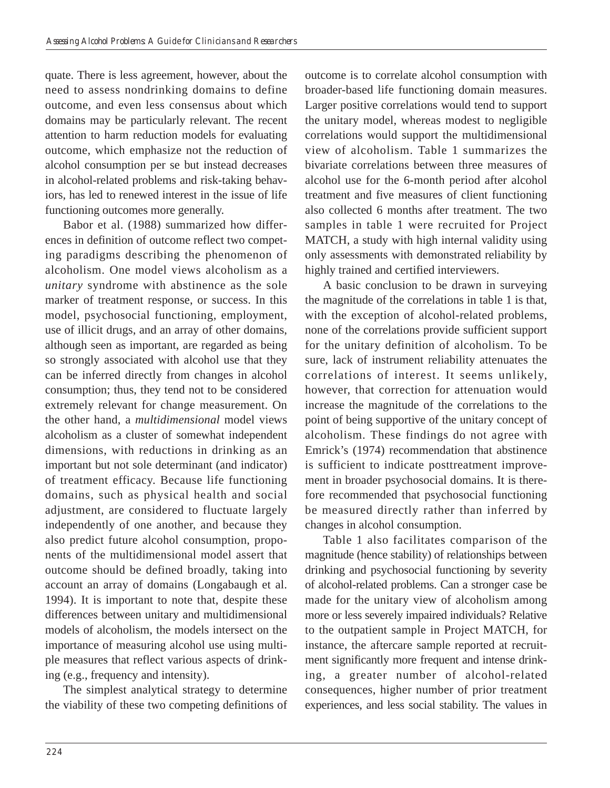quate. There is less agreement, however, about the need to assess nondrinking domains to define outcome, and even less consensus about which domains may be particularly relevant. The recent attention to harm reduction models for evaluating outcome, which emphasize not the reduction of alcohol consumption per se but instead decreases in alcohol-related problems and risk-taking behaviors, has led to renewed interest in the issue of life functioning outcomes more generally.

Babor et al. (1988) summarized how differences in definition of outcome reflect two competing paradigms describing the phenomenon of alcoholism. One model views alcoholism as a *unitary* syndrome with abstinence as the sole marker of treatment response, or success. In this model, psychosocial functioning, employment, use of illicit drugs, and an array of other domains, although seen as important, are regarded as being so strongly associated with alcohol use that they can be inferred directly from changes in alcohol consumption; thus, they tend not to be considered extremely relevant for change measurement. On the other hand, a *multidimensional* model views alcoholism as a cluster of somewhat independent dimensions, with reductions in drinking as an important but not sole determinant (and indicator) of treatment efficacy. Because life functioning domains, such as physical health and social adjustment, are considered to fluctuate largely independently of one another, and because they also predict future alcohol consumption, proponents of the multidimensional model assert that outcome should be defined broadly, taking into account an array of domains (Longabaugh et al. 1994). It is important to note that, despite these differences between unitary and multidimensional models of alcoholism, the models intersect on the importance of measuring alcohol use using multiple measures that reflect various aspects of drinking (e.g., frequency and intensity).

The simplest analytical strategy to determine the viability of these two competing definitions of outcome is to correlate alcohol consumption with broader-based life functioning domain measures. Larger positive correlations would tend to support the unitary model, whereas modest to negligible correlations would support the multidimensional view of alcoholism. Table 1 summarizes the bivariate correlations between three measures of alcohol use for the 6-month period after alcohol treatment and five measures of client functioning also collected 6 months after treatment. The two samples in table 1 were recruited for Project MATCH, a study with high internal validity using only assessments with demonstrated reliability by highly trained and certified interviewers.

A basic conclusion to be drawn in surveying the magnitude of the correlations in table 1 is that, with the exception of alcohol-related problems, none of the correlations provide sufficient support for the unitary definition of alcoholism. To be sure, lack of instrument reliability attenuates the correlations of interest. It seems unlikely, however, that correction for attenuation would increase the magnitude of the correlations to the point of being supportive of the unitary concept of alcoholism. These findings do not agree with Emrick's (1974) recommendation that abstinence is sufficient to indicate posttreatment improvement in broader psychosocial domains. It is therefore recommended that psychosocial functioning be measured directly rather than inferred by changes in alcohol consumption.

Table 1 also facilitates comparison of the magnitude (hence stability) of relationships between drinking and psychosocial functioning by severity of alcohol-related problems. Can a stronger case be made for the unitary view of alcoholism among more or less severely impaired individuals? Relative to the outpatient sample in Project MATCH, for instance, the aftercare sample reported at recruitment significantly more frequent and intense drinking, a greater number of alcohol-related consequences, higher number of prior treatment experiences, and less social stability. The values in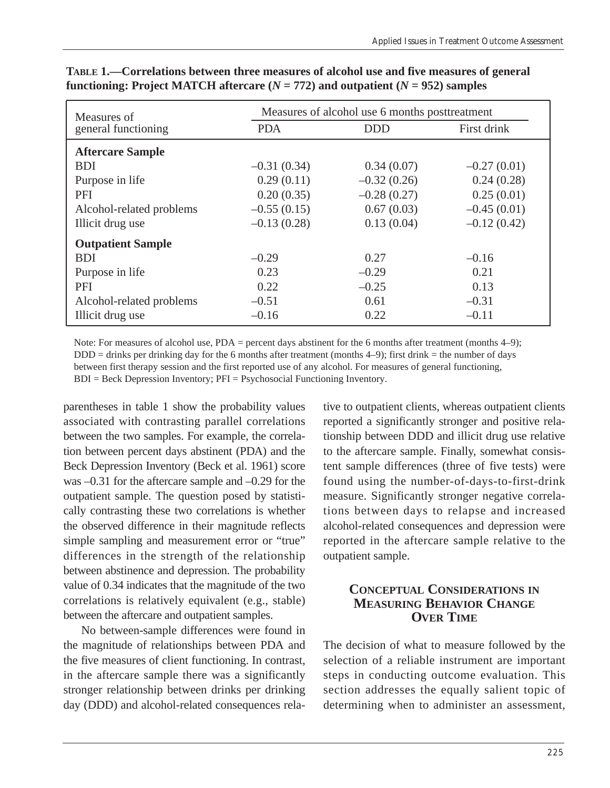| Measures of              | Measures of alcohol use 6 months posttreatment |               |               |
|--------------------------|------------------------------------------------|---------------|---------------|
| general functioning      | <b>PDA</b>                                     | <b>DDD</b>    | First drink   |
| <b>Aftercare Sample</b>  |                                                |               |               |
| <b>BDI</b>               | $-0.31(0.34)$                                  | 0.34(0.07)    | $-0.27(0.01)$ |
| Purpose in life          | 0.29(0.11)                                     | $-0.32(0.26)$ | 0.24(0.28)    |
| PFI                      | 0.20(0.35)                                     | $-0.28(0.27)$ | 0.25(0.01)    |
| Alcohol-related problems | $-0.55(0.15)$                                  | 0.67(0.03)    | $-0.45(0.01)$ |
| Illicit drug use         | $-0.13(0.28)$                                  | 0.13(0.04)    | $-0.12(0.42)$ |
| <b>Outpatient Sample</b> |                                                |               |               |
| <b>BDI</b>               | $-0.29$                                        | 0.27          | $-0.16$       |
| Purpose in life          | 0.23                                           | $-0.29$       | 0.21          |
| PFI                      | 0.22                                           | $-0.25$       | 0.13          |
| Alcohol-related problems | $-0.51$                                        | 0.61          | $-0.31$       |
| Illicit drug use         | $-0.16$                                        | 0.22          | $-0.11$       |

### **TABLE 1.—Correlations between three measures of alcohol use and five measures of general functioning: Project MATCH aftercare (** $N = 772$ **) and outpatient (** $N = 952$ **) samples**

Note: For measures of alcohol use, PDA = percent days abstinent for the 6 months after treatment (months 4–9); DDD = drinks per drinking day for the 6 months after treatment (months 4–9); first drink = the number of days between first therapy session and the first reported use of any alcohol. For measures of general functioning, BDI = Beck Depression Inventory; PFI = Psychosocial Functioning Inventory.

parentheses in table 1 show the probability values associated with contrasting parallel correlations between the two samples. For example, the correlation between percent days abstinent (PDA) and the Beck Depression Inventory (Beck et al. 1961) score was –0.31 for the aftercare sample and –0.29 for the outpatient sample. The question posed by statistically contrasting these two correlations is whether the observed difference in their magnitude reflects simple sampling and measurement error or "true" differences in the strength of the relationship between abstinence and depression. The probability value of 0.34 indicates that the magnitude of the two correlations is relatively equivalent (e.g., stable) between the aftercare and outpatient samples.

No between-sample differences were found in the magnitude of relationships between PDA and the five measures of client functioning. In contrast, in the aftercare sample there was a significantly stronger relationship between drinks per drinking day (DDD) and alcohol-related consequences relative to outpatient clients, whereas outpatient clients reported a significantly stronger and positive relationship between DDD and illicit drug use relative to the aftercare sample. Finally, somewhat consistent sample differences (three of five tests) were found using the number-of-days-to-first-drink measure. Significantly stronger negative correlations between days to relapse and increased alcohol-related consequences and depression were reported in the aftercare sample relative to the outpatient sample.

# **CONCEPTUAL CONSIDERATIONS IN MEASURING BEHAVIOR CHANGE OVER TIME**

The decision of what to measure followed by the selection of a reliable instrument are important steps in conducting outcome evaluation. This section addresses the equally salient topic of determining when to administer an assessment,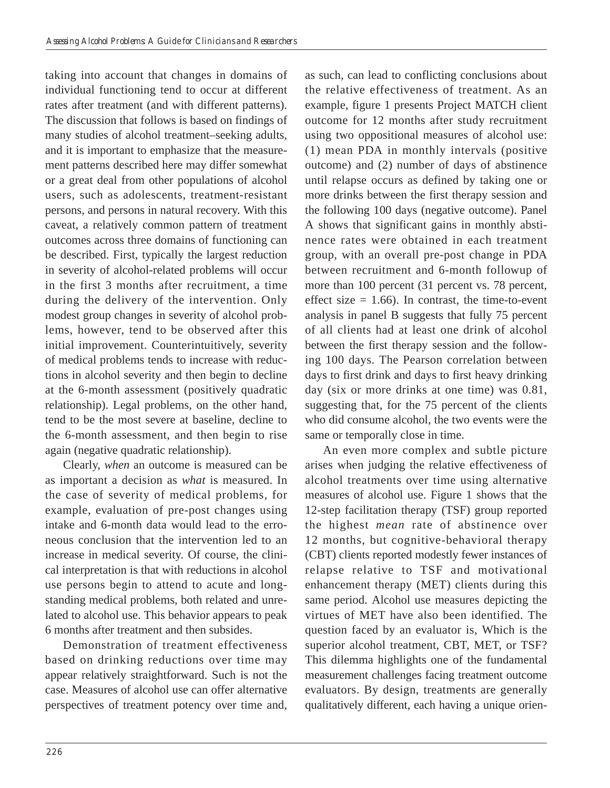taking into account that changes in domains of individual functioning tend to occur at different rates after treatment (and with different patterns). The discussion that follows is based on findings of many studies of alcohol treatment–seeking adults, and it is important to emphasize that the measurement patterns described here may differ somewhat or a great deal from other populations of alcohol users, such as adolescents, treatment-resistant persons, and persons in natural recovery. With this caveat, a relatively common pattern of treatment outcomes across three domains of functioning can be described. First, typically the largest reduction in severity of alcohol-related problems will occur in the first 3 months after recruitment, a time during the delivery of the intervention. Only modest group changes in severity of alcohol problems, however, tend to be observed after this initial improvement. Counterintuitively, severity of medical problems tends to increase with reductions in alcohol severity and then begin to decline at the 6-month assessment (positively quadratic relationship). Legal problems, on the other hand, tend to be the most severe at baseline, decline to the 6-month assessment, and then begin to rise again (negative quadratic relationship).

Clearly, *when* an outcome is measured can be as important a decision as *what* is measured. In the case of severity of medical problems, for example, evaluation of pre-post changes using intake and 6-month data would lead to the erroneous conclusion that the intervention led to an increase in medical severity. Of course, the clinical interpretation is that with reductions in alcohol use persons begin to attend to acute and longstanding medical problems, both related and unrelated to alcohol use. This behavior appears to peak 6 months after treatment and then subsides.

Demonstration of treatment effectiveness based on drinking reductions over time may appear relatively straightforward. Such is not the case. Measures of alcohol use can offer alternative perspectives of treatment potency over time and, as such, can lead to conflicting conclusions about the relative effectiveness of treatment. As an example, figure 1 presents Project MATCH client outcome for 12 months after study recruitment using two oppositional measures of alcohol use: (1) mean PDA in monthly intervals (positive outcome) and (2) number of days of abstinence until relapse occurs as defined by taking one or more drinks between the first therapy session and the following 100 days (negative outcome). Panel A shows that significant gains in monthly abstinence rates were obtained in each treatment group, with an overall pre-post change in PDA between recruitment and 6-month followup of more than 100 percent (31 percent vs. 78 percent, effect size  $= 1.66$ ). In contrast, the time-to-event analysis in panel B suggests that fully 75 percent of all clients had at least one drink of alcohol between the first therapy session and the following 100 days. The Pearson correlation between days to first drink and days to first heavy drinking day (six or more drinks at one time) was 0.81, suggesting that, for the 75 percent of the clients who did consume alcohol, the two events were the same or temporally close in time.

An even more complex and subtle picture arises when judging the relative effectiveness of alcohol treatments over time using alternative measures of alcohol use. Figure 1 shows that the 12-step facilitation therapy (TSF) group reported the highest *mean* rate of abstinence over 12 months, but cognitive-behavioral therapy (CBT) clients reported modestly fewer instances of relapse relative to TSF and motivational enhancement therapy (MET) clients during this same period. Alcohol use measures depicting the virtues of MET have also been identified. The question faced by an evaluator is, Which is the superior alcohol treatment, CBT, MET, or TSF? This dilemma highlights one of the fundamental measurement challenges facing treatment outcome evaluators. By design, treatments are generally qualitatively different, each having a unique orien-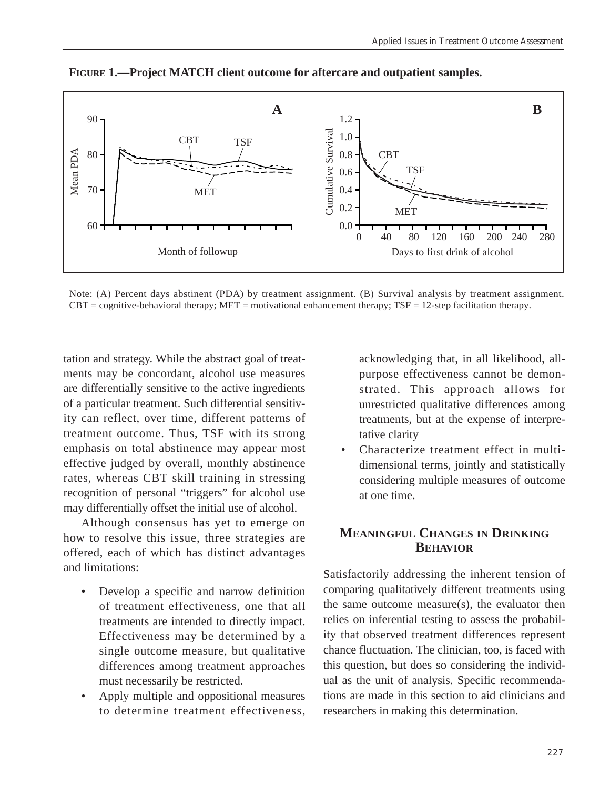

**FIGURE 1.—Project MATCH client outcome for aftercare and outpatient samples.** 

Note: (A) Percent days abstinent (PDA) by treatment assignment. (B) Survival analysis by treatment assignment.  $CBT = cognitive-behavioral therapy; MET = motivational enhancement therapy; TSF = 12-step facilitation therapy.$ 

tation and strategy. While the abstract goal of treatments may be concordant, alcohol use measures are differentially sensitive to the active ingredients of a particular treatment. Such differential sensitivity can reflect, over time, different patterns of treatment outcome. Thus, TSF with its strong emphasis on total abstinence may appear most effective judged by overall, monthly abstinence rates, whereas CBT skill training in stressing recognition of personal "triggers" for alcohol use may differentially offset the initial use of alcohol.

Although consensus has yet to emerge on how to resolve this issue, three strategies are offered, each of which has distinct advantages and limitations:

- Develop a specific and narrow definition of treatment effectiveness, one that all treatments are intended to directly impact. Effectiveness may be determined by a single outcome measure, but qualitative differences among treatment approaches must necessarily be restricted.
- Apply multiple and oppositional measures to determine treatment effectiveness,

acknowledging that, in all likelihood, allpurpose effectiveness cannot be demonstrated. This approach allows for unrestricted qualitative differences among treatments, but at the expense of interpretative clarity

• Characterize treatment effect in multidimensional terms, jointly and statistically considering multiple measures of outcome at one time.

### **MEANINGFUL CHANGES IN DRINKING BEHAVIOR**

Satisfactorily addressing the inherent tension of comparing qualitatively different treatments using the same outcome measure(s), the evaluator then relies on inferential testing to assess the probability that observed treatment differences represent chance fluctuation. The clinician, too, is faced with this question, but does so considering the individual as the unit of analysis. Specific recommendations are made in this section to aid clinicians and researchers in making this determination.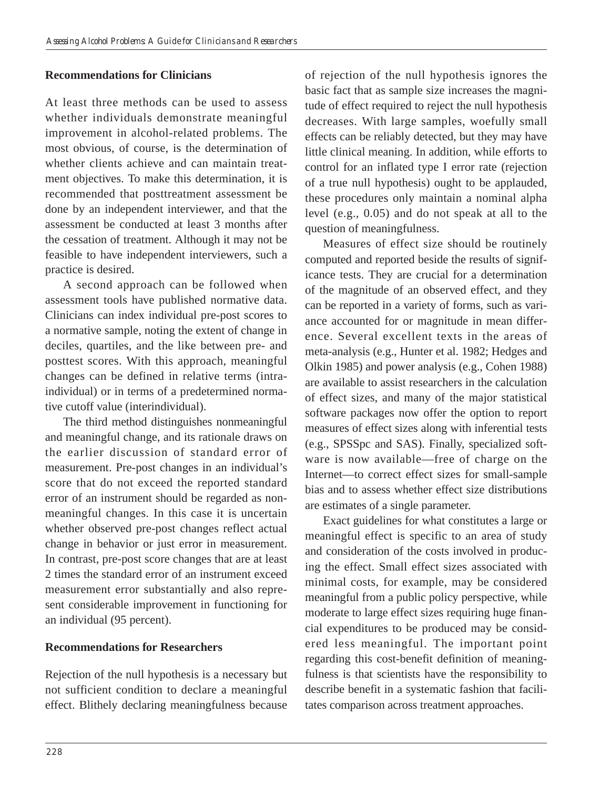### **Recommendations for Clinicians**

At least three methods can be used to assess whether individuals demonstrate meaningful improvement in alcohol-related problems. The most obvious, of course, is the determination of whether clients achieve and can maintain treatment objectives. To make this determination, it is recommended that posttreatment assessment be done by an independent interviewer, and that the assessment be conducted at least 3 months after the cessation of treatment. Although it may not be feasible to have independent interviewers, such a practice is desired.

A second approach can be followed when assessment tools have published normative data. Clinicians can index individual pre-post scores to a normative sample, noting the extent of change in deciles, quartiles, and the like between pre- and posttest scores. With this approach, meaningful changes can be defined in relative terms (intraindividual) or in terms of a predetermined normative cutoff value (interindividual).

The third method distinguishes nonmeaningful and meaningful change, and its rationale draws on the earlier discussion of standard error of measurement. Pre-post changes in an individual's score that do not exceed the reported standard error of an instrument should be regarded as nonmeaningful changes. In this case it is uncertain whether observed pre-post changes reflect actual change in behavior or just error in measurement. In contrast, pre-post score changes that are at least 2 times the standard error of an instrument exceed measurement error substantially and also represent considerable improvement in functioning for an individual (95 percent).

#### **Recommendations for Researchers**

Rejection of the null hypothesis is a necessary but not sufficient condition to declare a meaningful effect. Blithely declaring meaningfulness because of rejection of the null hypothesis ignores the basic fact that as sample size increases the magnitude of effect required to reject the null hypothesis decreases. With large samples, woefully small effects can be reliably detected, but they may have little clinical meaning. In addition, while efforts to control for an inflated type I error rate (rejection of a true null hypothesis) ought to be applauded, these procedures only maintain a nominal alpha level (e.g., 0.05) and do not speak at all to the question of meaningfulness.

Measures of effect size should be routinely computed and reported beside the results of significance tests. They are crucial for a determination of the magnitude of an observed effect, and they can be reported in a variety of forms, such as variance accounted for or magnitude in mean difference. Several excellent texts in the areas of meta-analysis (e.g., Hunter et al. 1982; Hedges and Olkin 1985) and power analysis (e.g., Cohen 1988) are available to assist researchers in the calculation of effect sizes, and many of the major statistical software packages now offer the option to report measures of effect sizes along with inferential tests (e.g., SPSSpc and SAS). Finally, specialized software is now available—free of charge on the Internet—to correct effect sizes for small-sample bias and to assess whether effect size distributions are estimates of a single parameter.

Exact guidelines for what constitutes a large or meaningful effect is specific to an area of study and consideration of the costs involved in producing the effect. Small effect sizes associated with minimal costs, for example, may be considered meaningful from a public policy perspective, while moderate to large effect sizes requiring huge financial expenditures to be produced may be considered less meaningful. The important point regarding this cost-benefit definition of meaningfulness is that scientists have the responsibility to describe benefit in a systematic fashion that facilitates comparison across treatment approaches.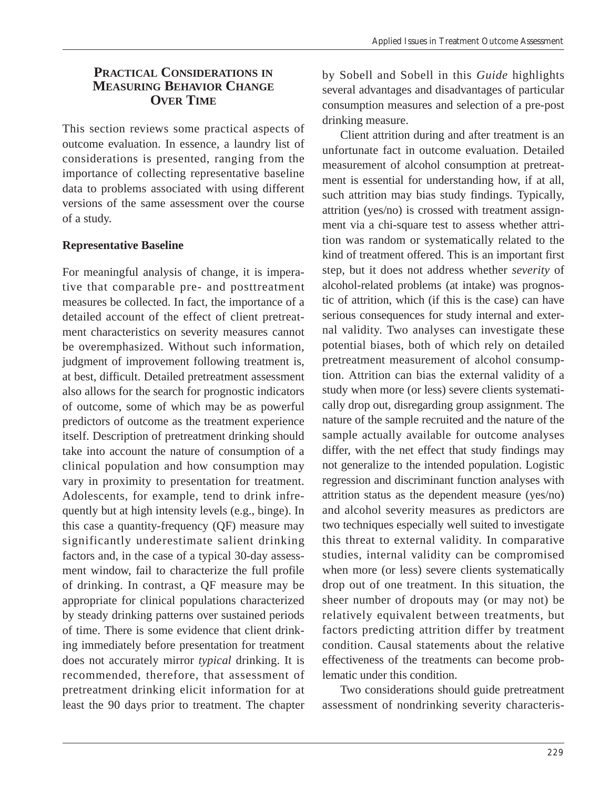#### **PRACTICAL CONSIDERATIONS IN MEASURING BEHAVIOR CHANGE OVER TIME**

This section reviews some practical aspects of outcome evaluation. In essence, a laundry list of considerations is presented, ranging from the importance of collecting representative baseline data to problems associated with using different versions of the same assessment over the course of a study.

## **Representative Baseline**

For meaningful analysis of change, it is imperative that comparable pre- and posttreatment measures be collected. In fact, the importance of a detailed account of the effect of client pretreatment characteristics on severity measures cannot be overemphasized. Without such information, judgment of improvement following treatment is, at best, difficult. Detailed pretreatment assessment also allows for the search for prognostic indicators of outcome, some of which may be as powerful predictors of outcome as the treatment experience itself. Description of pretreatment drinking should take into account the nature of consumption of a clinical population and how consumption may vary in proximity to presentation for treatment. Adolescents, for example, tend to drink infrequently but at high intensity levels (e.g., binge). In this case a quantity-frequency (QF) measure may significantly underestimate salient drinking factors and, in the case of a typical 30-day assessment window, fail to characterize the full profile of drinking. In contrast, a QF measure may be appropriate for clinical populations characterized by steady drinking patterns over sustained periods of time. There is some evidence that client drinking immediately before presentation for treatment does not accurately mirror *typical* drinking. It is recommended, therefore, that assessment of pretreatment drinking elicit information for at least the 90 days prior to treatment. The chapter

by Sobell and Sobell in this *Guide* highlights several advantages and disadvantages of particular consumption measures and selection of a pre-post drinking measure.

Client attrition during and after treatment is an unfortunate fact in outcome evaluation. Detailed measurement of alcohol consumption at pretreatment is essential for understanding how, if at all, such attrition may bias study findings. Typically, attrition (yes/no) is crossed with treatment assignment via a chi-square test to assess whether attrition was random or systematically related to the kind of treatment offered. This is an important first step, but it does not address whether *severity* of alcohol-related problems (at intake) was prognostic of attrition, which (if this is the case) can have serious consequences for study internal and external validity. Two analyses can investigate these potential biases, both of which rely on detailed pretreatment measurement of alcohol consumption. Attrition can bias the external validity of a study when more (or less) severe clients systematically drop out, disregarding group assignment. The nature of the sample recruited and the nature of the sample actually available for outcome analyses differ, with the net effect that study findings may not generalize to the intended population. Logistic regression and discriminant function analyses with attrition status as the dependent measure (yes/no) and alcohol severity measures as predictors are two techniques especially well suited to investigate this threat to external validity. In comparative studies, internal validity can be compromised when more (or less) severe clients systematically drop out of one treatment. In this situation, the sheer number of dropouts may (or may not) be relatively equivalent between treatments, but factors predicting attrition differ by treatment condition. Causal statements about the relative effectiveness of the treatments can become problematic under this condition.

Two considerations should guide pretreatment assessment of nondrinking severity characteris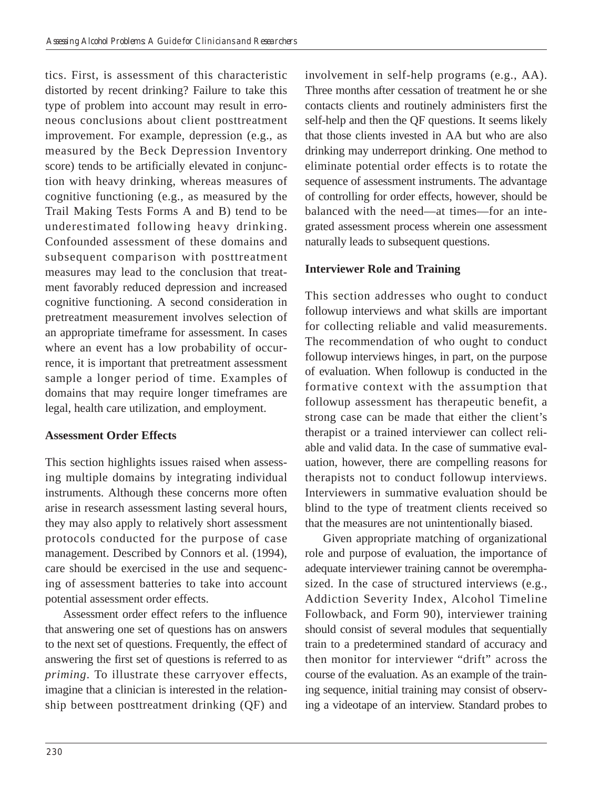tics. First, is assessment of this characteristic distorted by recent drinking? Failure to take this type of problem into account may result in erroneous conclusions about client posttreatment improvement. For example, depression (e.g., as measured by the Beck Depression Inventory score) tends to be artificially elevated in conjunction with heavy drinking, whereas measures of cognitive functioning (e.g., as measured by the Trail Making Tests Forms A and B) tend to be underestimated following heavy drinking. Confounded assessment of these domains and subsequent comparison with posttreatment measures may lead to the conclusion that treatment favorably reduced depression and increased cognitive functioning. A second consideration in pretreatment measurement involves selection of an appropriate timeframe for assessment. In cases where an event has a low probability of occurrence, it is important that pretreatment assessment sample a longer period of time. Examples of domains that may require longer timeframes are legal, health care utilization, and employment.

#### **Assessment Order Effects**

This section highlights issues raised when assessing multiple domains by integrating individual instruments. Although these concerns more often arise in research assessment lasting several hours, they may also apply to relatively short assessment protocols conducted for the purpose of case management. Described by Connors et al. (1994), care should be exercised in the use and sequencing of assessment batteries to take into account potential assessment order effects.

Assessment order effect refers to the influence that answering one set of questions has on answers to the next set of questions. Frequently, the effect of answering the first set of questions is referred to as *priming*. To illustrate these carryover effects, imagine that a clinician is interested in the relationship between posttreatment drinking (QF) and involvement in self-help programs (e.g., AA). Three months after cessation of treatment he or she contacts clients and routinely administers first the self-help and then the QF questions. It seems likely that those clients invested in AA but who are also drinking may underreport drinking. One method to eliminate potential order effects is to rotate the sequence of assessment instruments. The advantage of controlling for order effects, however, should be balanced with the need—at times—for an integrated assessment process wherein one assessment naturally leads to subsequent questions.

# **Interviewer Role and Training**

This section addresses who ought to conduct followup interviews and what skills are important for collecting reliable and valid measurements. The recommendation of who ought to conduct followup interviews hinges, in part, on the purpose of evaluation. When followup is conducted in the formative context with the assumption that followup assessment has therapeutic benefit, a strong case can be made that either the client's therapist or a trained interviewer can collect reliable and valid data. In the case of summative evaluation, however, there are compelling reasons for therapists not to conduct followup interviews. Interviewers in summative evaluation should be blind to the type of treatment clients received so that the measures are not unintentionally biased.

Given appropriate matching of organizational role and purpose of evaluation, the importance of adequate interviewer training cannot be overemphasized. In the case of structured interviews (e.g., Addiction Severity Index, Alcohol Timeline Followback, and Form 90), interviewer training should consist of several modules that sequentially train to a predetermined standard of accuracy and then monitor for interviewer "drift" across the course of the evaluation. As an example of the training sequence, initial training may consist of observing a videotape of an interview. Standard probes to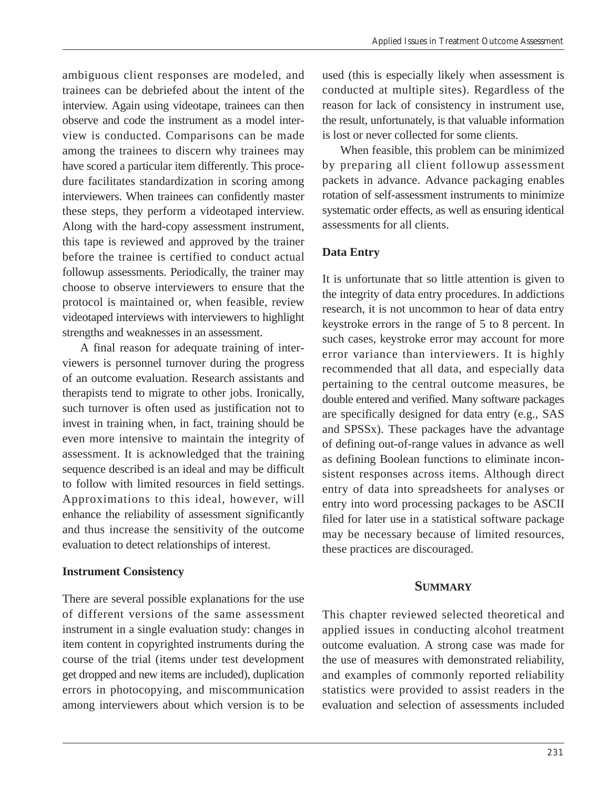ambiguous client responses are modeled, and trainees can be debriefed about the intent of the interview. Again using videotape, trainees can then observe and code the instrument as a model interview is conducted. Comparisons can be made among the trainees to discern why trainees may have scored a particular item differently. This procedure facilitates standardization in scoring among interviewers. When trainees can confidently master these steps, they perform a videotaped interview. Along with the hard-copy assessment instrument, this tape is reviewed and approved by the trainer before the trainee is certified to conduct actual followup assessments. Periodically, the trainer may choose to observe interviewers to ensure that the protocol is maintained or, when feasible, review videotaped interviews with interviewers to highlight strengths and weaknesses in an assessment.

A final reason for adequate training of interviewers is personnel turnover during the progress of an outcome evaluation. Research assistants and therapists tend to migrate to other jobs. Ironically, such turnover is often used as justification not to invest in training when, in fact, training should be even more intensive to maintain the integrity of assessment. It is acknowledged that the training sequence described is an ideal and may be difficult to follow with limited resources in field settings. Approximations to this ideal, however, will enhance the reliability of assessment significantly and thus increase the sensitivity of the outcome evaluation to detect relationships of interest.

#### **Instrument Consistency**

There are several possible explanations for the use of different versions of the same assessment instrument in a single evaluation study: changes in item content in copyrighted instruments during the course of the trial (items under test development get dropped and new items are included), duplication errors in photocopying, and miscommunication among interviewers about which version is to be

used (this is especially likely when assessment is conducted at multiple sites). Regardless of the reason for lack of consistency in instrument use, the result, unfortunately, is that valuable information is lost or never collected for some clients.

When feasible, this problem can be minimized by preparing all client followup assessment packets in advance. Advance packaging enables rotation of self-assessment instruments to minimize systematic order effects, as well as ensuring identical assessments for all clients.

#### **Data Entry**

It is unfortunate that so little attention is given to the integrity of data entry procedures. In addictions research, it is not uncommon to hear of data entry keystroke errors in the range of 5 to 8 percent. In such cases, keystroke error may account for more error variance than interviewers. It is highly recommended that all data, and especially data pertaining to the central outcome measures, be double entered and verified. Many software packages are specifically designed for data entry (e.g., SAS and SPSSx). These packages have the advantage of defining out-of-range values in advance as well as defining Boolean functions to eliminate inconsistent responses across items. Although direct entry of data into spreadsheets for analyses or entry into word processing packages to be ASCII filed for later use in a statistical software package may be necessary because of limited resources, these practices are discouraged.

#### **SUMMARY**

This chapter reviewed selected theoretical and applied issues in conducting alcohol treatment outcome evaluation. A strong case was made for the use of measures with demonstrated reliability, and examples of commonly reported reliability statistics were provided to assist readers in the evaluation and selection of assessments included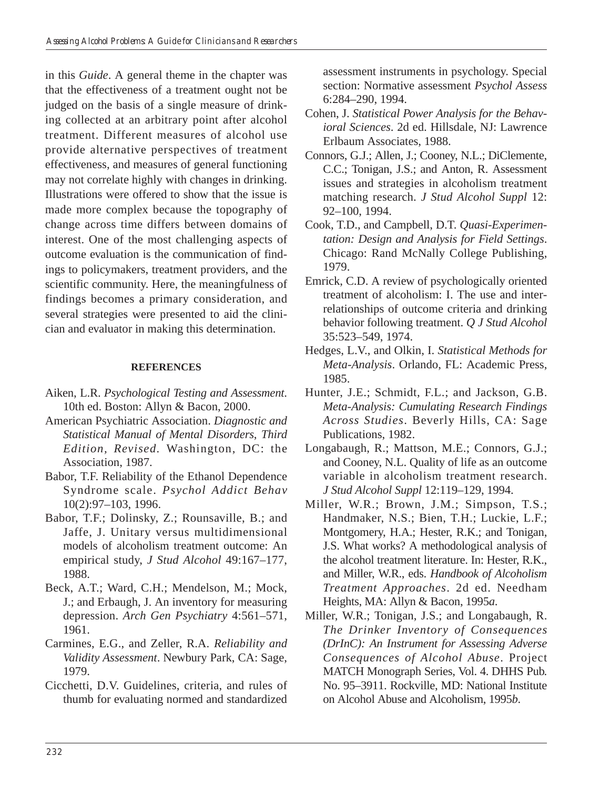in this *Guide*. A general theme in the chapter was that the effectiveness of a treatment ought not be judged on the basis of a single measure of drinking collected at an arbitrary point after alcohol treatment. Different measures of alcohol use provide alternative perspectives of treatment effectiveness, and measures of general functioning may not correlate highly with changes in drinking. Illustrations were offered to show that the issue is made more complex because the topography of change across time differs between domains of interest. One of the most challenging aspects of outcome evaluation is the communication of findings to policymakers, treatment providers, and the scientific community. Here, the meaningfulness of findings becomes a primary consideration, and several strategies were presented to aid the clinician and evaluator in making this determination.

#### **REFERENCES**

- Aiken, L.R. *Psychological Testing and Assessment*. 10th ed. Boston: Allyn & Bacon, 2000.
- American Psychiatric Association. *Diagnostic and Statistical Manual of Mental Disorders*, *Third Edition, Revised.* Washington, DC: the Association, 1987.
- Babor, T.F. Reliability of the Ethanol Dependence Syndrome scale. *Psychol Addict Behav*  10(2):97–103, 1996.
- Babor, T.F.; Dolinsky, Z.; Rounsaville, B.; and Jaffe, J. Unitary versus multidimensional models of alcoholism treatment outcome: An empirical study, *J Stud Alcohol* 49:167–177, 1988.
- Beck, A.T.; Ward, C.H.; Mendelson, M.; Mock, J.; and Erbaugh, J. An inventory for measuring depression. *Arch Gen Psychiatry* 4:561–571, 1961.
- Carmines, E.G., and Zeller, R.A. *Reliability and Validity Assessment*. Newbury Park, CA: Sage, 1979.
- Cicchetti, D.V. Guidelines, criteria, and rules of thumb for evaluating normed and standardized

assessment instruments in psychology. Special section: Normative assessment *Psychol Assess*  6:284–290, 1994.

- Cohen, J. *Statistical Power Analysis for the Behavioral Sciences*. 2d ed. Hillsdale, NJ: Lawrence Erlbaum Associates, 1988.
- Connors, G.J.; Allen, J.; Cooney, N.L.; DiClemente, C.C.; Tonigan, J.S.; and Anton, R. Assessment issues and strategies in alcoholism treatment matching research. *J Stud Alcohol Suppl* 12: 92–100, 1994.
- Cook, T.D., and Campbell, D.T. *Quasi-Experimentation: Design and Analysis for Field Settings*. Chicago: Rand McNally College Publishing, 1979.
- Emrick, C.D. A review of psychologically oriented treatment of alcoholism: I. The use and interrelationships of outcome criteria and drinking behavior following treatment. *Q J Stud Alcohol*  35:523–549, 1974.
- Hedges, L.V., and Olkin, I. *Statistical Methods for Meta-Analysis*. Orlando, FL: Academic Press, 1985.
- Hunter, J.E.; Schmidt, F.L.; and Jackson, G.B. *Meta-Analysis: Cumulating Research Findings Across Studies*. Beverly Hills, CA: Sage Publications, 1982.
- Longabaugh, R.; Mattson, M.E.; Connors, G.J.; and Cooney, N.L. Quality of life as an outcome variable in alcoholism treatment research. *J Stud Alcohol Suppl* 12:119–129, 1994.
- Miller, W.R.; Brown, J.M.; Simpson, T.S.; Handmaker, N.S.; Bien, T.H.; Luckie, L.F.; Montgomery, H.A.; Hester, R.K.; and Tonigan, J.S. What works? A methodological analysis of the alcohol treatment literature. In: Hester, R.K., and Miller, W.R., eds. *Handbook of Alcoholism Treatment Approaches*. 2d ed. Needham Heights, MA: Allyn & Bacon, 1995*a*.
- Miller, W.R.; Tonigan, J.S.; and Longabaugh, R. *The Drinker Inventory of Consequences (DrInC): An Instrument for Assessing Adverse Consequences of Alcohol Abuse*. Project MATCH Monograph Series, Vol. 4. DHHS Pub. No. 95–3911. Rockville, MD: National Institute on Alcohol Abuse and Alcoholism, 1995*b*.